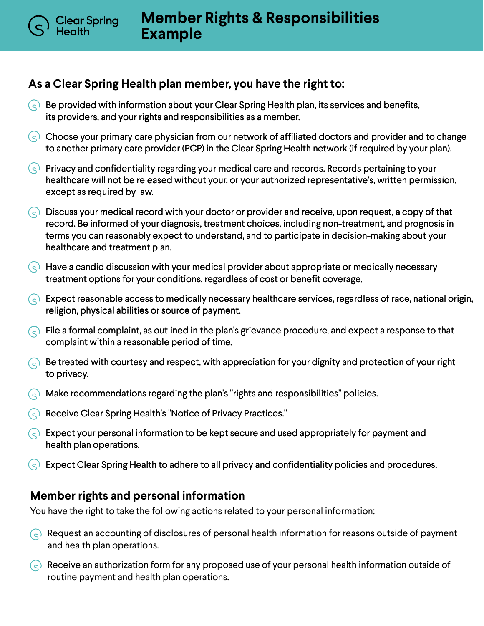## **As a Clear Spring Health plan member, you have the right to:**

Clear Spring

- Be provided with information about your Clear Spring Health plan, its services and benefits,  $(\varsigma)$ its providers, and your rights and responsibilities as a member.
- $\varsigma$  Choose your primary care physician from our network of affiliated doctors and provider and to change to another primary care provider (PCP) in the Clear Spring Health network (if required by your plan).
- $\overline{\mathcal{S}}$  Privacy and confidentiality regarding your medical care and records. Records pertaining to your healthcare will not be released without your, or your authorized representative's, written permission, except as required by law.
- $\infty$  Discuss your medical record with your doctor or provider and receive, upon request, a copy of that record. Be informed of your diagnosis, treatment choices, including non-treatment, and prognosis in terms you can reasonably expect to understand, and to participate in decision-making about your healthcare and treatment plan.
- $\left(\varsigma\right)$  Have a candid discussion with your medical provider about appropriate or medically necessary treatment options for your conditions, regardless of cost or benefit coverage.
- $\Diamond$  Expect reasonable access to medically necessary healthcare services, regardless of race, national origin, religion, physical abilities or source of payment.
- $\Diamond$  File a formal complaint, as outlined in the plan's grievance procedure, and expect a response to that complaint within a reasonable period of time.
- $\odot$  Be treated with courtesy and respect, with appreciation for your dignity and protection of your right to privacy.
- $\bigodot$  Make recommendations regarding the plan's "rights and responsibilities" policies.
- $\left(\begin{matrix} 1 & 1 \end{matrix}\right)$  Receive Clear Spring Health's "Notice of Privacy Practices."
- $\Diamond$  Expect your personal information to be kept secure and used appropriately for payment and health plan operations.
- Expect Clear Spring Health to adhere to all privacy and confidentiality policies and procedures.

## **Member rights and personal information**

You have the right to take the following actions related to your personal information:

- $\odot$  Request an accounting of disclosures of personal health information for reasons outside of payment and health plan operations.
- Receive an authorization form for any proposed use of your personal health information outside of routine payment and health plan operations.